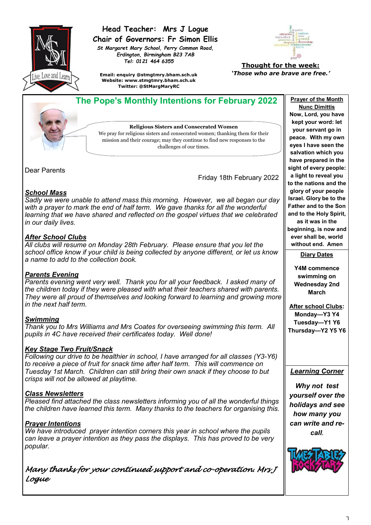

# **Head Teacher: Mrs J Logue Chair of Governors: Fr Simon Ellis**

*St Margaret Mary School, Perry Common Road, Erdington, Birmingham B23 7AB Tel: 0121 464 6355*



**Thought for the week:** *'Those who are brave are free.'*

**Email: enquiry @stmgtmry.bham.sch.uk Website: www.stmgtmry.bham.sch.uk Twitter: @StMargMaryRC**



Dear Parents

Friday 18th February 2022

### *School Mass*

*Sadly we were unable to attend mass this morning. However, we all began our day*  with a prayer to mark the end of half term. We gave thanks for all the wonderful *learning that we have shared and reflected on the gospel virtues that we celebrated in our daily lives.*

## *After School Clubs*

*All clubs will resume on Monday 28th February. Please ensure that you let the school office know if your child is being collected by anyone different, or let us know a name to add to the collection book.*

## *Parents Evening*

*Parents evening went very well. Thank you for all your feedback. I asked many of the children today if they were pleased with what their teachers shared with parents. They were all proud of themselves and looking forward to learning and growing more in the next half term.*

### *Swimming*

*Thank you to Mrs Williams and Mrs Coates for overseeing swimming this term. All pupils in 4C have received their certificates today. Well done!* 

### *Key Stage Two Fruit/Snack*

*Following our drive to be healthier in school, I have arranged for all classes (Y3-Y6) to receive a piece of fruit for snack time after half term. This will commence on Tuesday 1st March. Children can still bring their own snack if they choose to but crisps will not be allowed at playtime.*

### *Class Newsletters*

*Pleased find attached the class newsletters informing you of all the wonderful things the children have learned this term. Many thanks to the teachers for organising this.*

## *Prayer Intentions*

*We have introduced prayer intention corners this year in school where the pupils can leave a prayer intention as they pass the displays. This has proved to be very popular.* 

*Many thanks for your continued support and co-operation. Mrs J Logue* 

**Nunc Dimittis Now, Lord, you have kept your word: let your servant go in peace. With my own eyes I have seen the salvation which you have prepared in the sight of every people: a light to reveal you to the nations and the glory of your people Israel. Glory be to the Father and to the Son and to the Holy Spirit, as it was in the beginning, is now and ever shall be, world** 

**without end. Amen Diary Dates**

**Y4M commence swimming on Wednesday 2nd March**

**After school Clubs: Monday—Y3 Y4 Tuesday—Y1 Y6 Thursday—Y2 Y5 Y6**

### *Learning Corner*

*Why not test yourself over the holidays and see how many you can write and recall.*